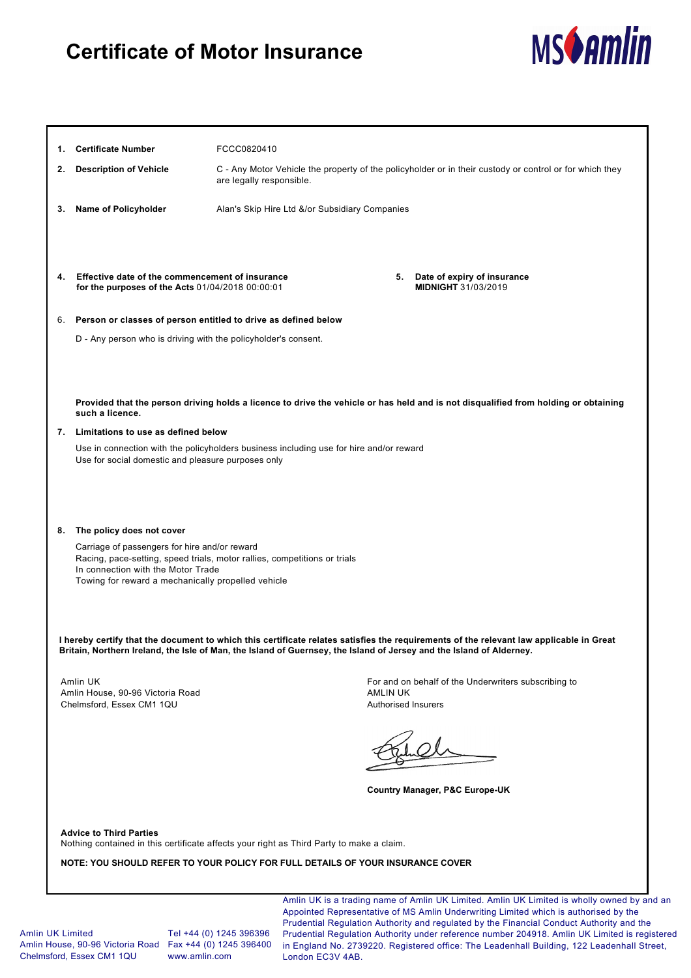## **Certificate of Motor Insurance**



| <b>Certificate Number</b><br>1.                                                                                                                                                                                        | FCCC0820410                                    |                                                                                                                                                                                                                                                                               |  |
|------------------------------------------------------------------------------------------------------------------------------------------------------------------------------------------------------------------------|------------------------------------------------|-------------------------------------------------------------------------------------------------------------------------------------------------------------------------------------------------------------------------------------------------------------------------------|--|
| <b>Description of Vehicle</b><br>2.                                                                                                                                                                                    | are legally responsible.                       | C - Any Motor Vehicle the property of the policyholder or in their custody or control or for which they                                                                                                                                                                       |  |
| Name of Policyholder<br>3.                                                                                                                                                                                             | Alan's Skip Hire Ltd &/or Subsidiary Companies |                                                                                                                                                                                                                                                                               |  |
|                                                                                                                                                                                                                        |                                                |                                                                                                                                                                                                                                                                               |  |
| Effective date of the commencement of insurance<br>4.<br>for the purposes of the Acts 01/04/2018 00:00:01                                                                                                              |                                                | 5. Date of expiry of insurance<br><b>MIDNIGHT 31/03/2019</b>                                                                                                                                                                                                                  |  |
| Person or classes of person entitled to drive as defined below<br>6.                                                                                                                                                   |                                                |                                                                                                                                                                                                                                                                               |  |
| D - Any person who is driving with the policyholder's consent.                                                                                                                                                         |                                                |                                                                                                                                                                                                                                                                               |  |
|                                                                                                                                                                                                                        |                                                |                                                                                                                                                                                                                                                                               |  |
| such a licence.                                                                                                                                                                                                        |                                                | Provided that the person driving holds a licence to drive the vehicle or has held and is not disqualified from holding or obtaining                                                                                                                                           |  |
| Limitations to use as defined below<br>7.                                                                                                                                                                              |                                                |                                                                                                                                                                                                                                                                               |  |
| Use in connection with the policyholders business including use for hire and/or reward<br>Use for social domestic and pleasure purposes only                                                                           |                                                |                                                                                                                                                                                                                                                                               |  |
| The policy does not cover<br>8.                                                                                                                                                                                        |                                                |                                                                                                                                                                                                                                                                               |  |
| Carriage of passengers for hire and/or reward<br>Racing, pace-setting, speed trials, motor rallies, competitions or trials<br>In connection with the Motor Trade<br>Towing for reward a mechanically propelled vehicle |                                                |                                                                                                                                                                                                                                                                               |  |
|                                                                                                                                                                                                                        |                                                | I hereby certify that the document to which this certificate relates satisfies the requirements of the relevant law applicable in Great<br>Britain, Northern Ireland, the Isle of Man, the Island of Guernsey, the Island of Jersey and the Island of Alderney.               |  |
| Amlin UK                                                                                                                                                                                                               |                                                | For and on behalf of the Underwriters subscribing to                                                                                                                                                                                                                          |  |
| Amlin House, 90-96 Victoria Road<br>Chelmsford, Essex CM1 1QU                                                                                                                                                          |                                                | <b>AMLIN UK</b><br><b>Authorised Insurers</b>                                                                                                                                                                                                                                 |  |
|                                                                                                                                                                                                                        |                                                |                                                                                                                                                                                                                                                                               |  |
|                                                                                                                                                                                                                        |                                                | Country Manager, P&C Europe-UK                                                                                                                                                                                                                                                |  |
| <b>Advice to Third Parties</b>                                                                                                                                                                                         |                                                |                                                                                                                                                                                                                                                                               |  |
| Nothing contained in this certificate affects your right as Third Party to make a claim.                                                                                                                               |                                                |                                                                                                                                                                                                                                                                               |  |
| NOTE: YOU SHOULD REFER TO YOUR POLICY FOR FULL DETAILS OF YOUR INSURANCE COVER                                                                                                                                         |                                                |                                                                                                                                                                                                                                                                               |  |
|                                                                                                                                                                                                                        |                                                | Amlin UK is a trading name of Amlin UK Limited. Amlin UK Limited is wholly owned by and<br>Appointed Representative of MS Amlin Underwriting Limited which is authorised by the<br>Prudential Requisition Authority and requisited by the Financial Conduct Authority and the |  |

Amlin UK Limited Amlin House, 90-96 Victoria Road Fax +44 (0) 1245 396400 Chelmsford, Essex CM1 1QU

Tel +44 (0) 1245 396396 www.amlin.com

Amlin UK is a trading name of Amlin UK Limited. Amlin UK Limited is wholly owned by and an Prudential Regulation Authority and regulated by the Financial Conduct Authority and the Prudential Regulation Authority under reference number 204918. Amlin UK Limited is registered in England No. 2739220. Registered office: The Leadenhall Building, 122 Leadenhall Street, London EC3V 4AB.